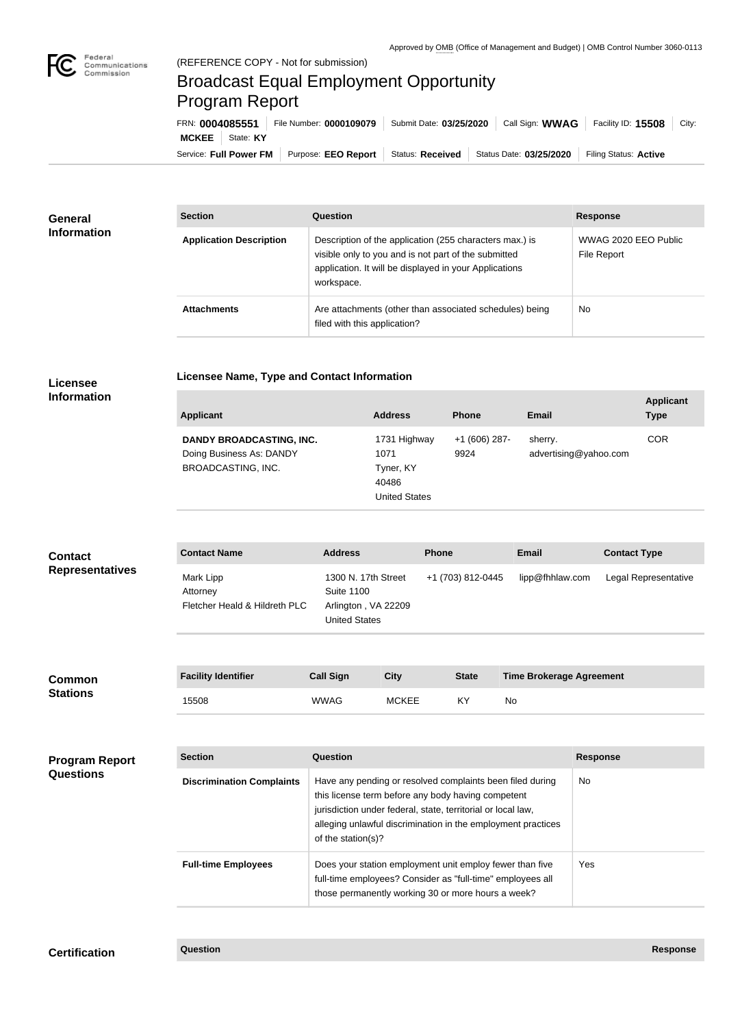

 $\overline{\phantom{a}}$ 

## Broadcast Equal Employment Opportunity Program Report

**Licensee Name, Type and Contact Information**

Service: Full Power FM Purpose: EEO Report | Status: Received | Status Date: 03/25/2020 | Filing Status: Active **MCKEE** State: **KY** FRN: **0004085551** File Number: **0000109079** Submit Date: **03/25/2020** Call Sign: **WWAG** Facility ID: **15508** City:

| <b>General</b><br><b>Information</b> | <b>Section</b>                 | Question                                                                                                                                                                                | <b>Response</b>                     |
|--------------------------------------|--------------------------------|-----------------------------------------------------------------------------------------------------------------------------------------------------------------------------------------|-------------------------------------|
|                                      | <b>Application Description</b> | Description of the application (255 characters max.) is<br>visible only to you and is not part of the submitted<br>application. It will be displayed in your Applications<br>workspace. | WWAG 2020 EEO Public<br>File Report |
|                                      | <b>Attachments</b>             | Are attachments (other than associated schedules) being<br>filed with this application?                                                                                                 | <b>No</b>                           |

## **Licensee Information**

| <b>Applicant</b>         | <b>Address</b>       | <b>Phone</b>  | Email                 | <b>Applicant</b><br><b>Type</b> |
|--------------------------|----------------------|---------------|-----------------------|---------------------------------|
| DANDY BROADCASTING, INC. | 1731 Highway         | +1 (606) 287- | sherry.               | <b>COR</b>                      |
| Doing Business As: DANDY | 1071                 | 9924          | advertising@yahoo.com |                                 |
| BROADCASTING, INC.       | Tyner, KY            |               |                       |                                 |
|                          | 40486                |               |                       |                                 |
|                          | <b>United States</b> |               |                       |                                 |

| <b>Contact</b>         | <b>Contact Name</b>                                    | <b>Address</b>                                                                          | <b>Phone</b>      | <b>Email</b>    | <b>Contact Type</b>  |
|------------------------|--------------------------------------------------------|-----------------------------------------------------------------------------------------|-------------------|-----------------|----------------------|
| <b>Representatives</b> | Mark Lipp<br>Attorney<br>Fletcher Heald & Hildreth PLC | 1300 N. 17th Street<br><b>Suite 1100</b><br>Arlington, VA 22209<br><b>United States</b> | +1 (703) 812-0445 | lipp@fhhlaw.com | Legal Representative |

| <b>Common</b><br><b>Stations</b> | <b>Facility Identifier</b> | <b>Call Sign</b> | City         | <b>State</b> | <b>Time Brokerage Agreement</b> |
|----------------------------------|----------------------------|------------------|--------------|--------------|---------------------------------|
|                                  | 15508                      | <b>WWAG</b>      | <b>MCKEE</b> | KY           | No                              |

| <b>Program Report</b><br><b>Questions</b> | <b>Section</b>                   | <b>Question</b>                                                                                                                                                                                                                                                       | <b>Response</b> |  |
|-------------------------------------------|----------------------------------|-----------------------------------------------------------------------------------------------------------------------------------------------------------------------------------------------------------------------------------------------------------------------|-----------------|--|
|                                           | <b>Discrimination Complaints</b> | Have any pending or resolved complaints been filed during<br>this license term before any body having competent<br>jurisdiction under federal, state, territorial or local law,<br>alleging unlawful discrimination in the employment practices<br>of the station(s)? | No.             |  |
|                                           | <b>Full-time Employees</b>       | Does your station employment unit employ fewer than five<br>full-time employees? Consider as "full-time" employees all<br>those permanently working 30 or more hours a week?                                                                                          | Yes.            |  |

## **Certification Question Response**